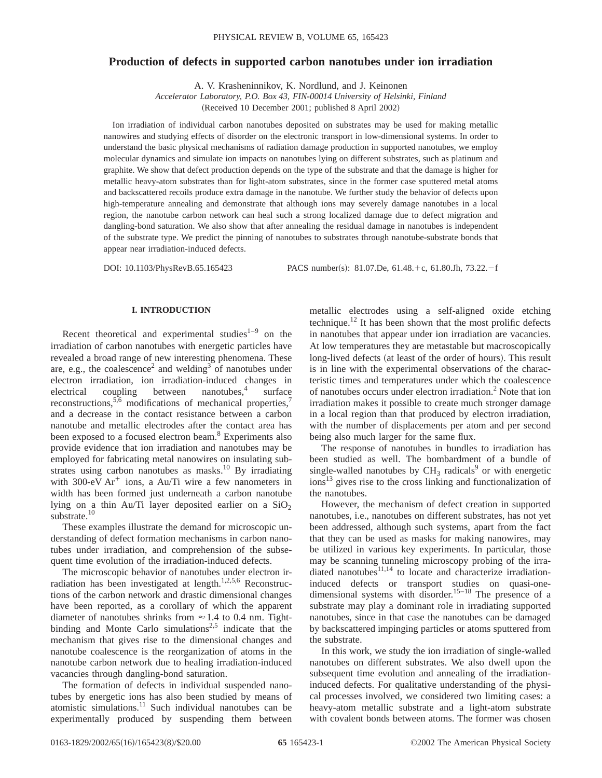# **Production of defects in supported carbon nanotubes under ion irradiation**

A. V. Krasheninnikov, K. Nordlund, and J. Keinonen

*Accelerator Laboratory, P.O. Box 43, FIN-00014 University of Helsinki, Finland*

(Received 10 December 2001; published 8 April 2002)

Ion irradiation of individual carbon nanotubes deposited on substrates may be used for making metallic nanowires and studying effects of disorder on the electronic transport in low-dimensional systems. In order to understand the basic physical mechanisms of radiation damage production in supported nanotubes, we employ molecular dynamics and simulate ion impacts on nanotubes lying on different substrates, such as platinum and graphite. We show that defect production depends on the type of the substrate and that the damage is higher for metallic heavy-atom substrates than for light-atom substrates, since in the former case sputtered metal atoms and backscattered recoils produce extra damage in the nanotube. We further study the behavior of defects upon high-temperature annealing and demonstrate that although ions may severely damage nanotubes in a local region, the nanotube carbon network can heal such a strong localized damage due to defect migration and dangling-bond saturation. We also show that after annealing the residual damage in nanotubes is independent of the substrate type. We predict the pinning of nanotubes to substrates through nanotube-substrate bonds that appear near irradiation-induced defects.

DOI: 10.1103/PhysRevB.65.165423 PACS number(s): 81.07.De, 61.48.+c, 61.80.Jh, 73.22.-f

## **I. INTRODUCTION**

Recent theoretical and experimental studies<sup>1–9</sup> on the irradiation of carbon nanotubes with energetic particles have revealed a broad range of new interesting phenomena. These are, e.g., the coalescence<sup>2</sup> and welding<sup>3</sup> of nanotubes under electron irradiation, ion irradiation-induced changes in electrical coupling between nanotubes,<sup>4</sup> surface reconstructions,  $5,6$  modifications of mechanical properties,  $\frac{7}{1}$ and a decrease in the contact resistance between a carbon nanotube and metallic electrodes after the contact area has been exposed to a focused electron beam.<sup>8</sup> Experiments also provide evidence that ion irradiation and nanotubes may be employed for fabricating metal nanowires on insulating substrates using carbon nanotubes as masks.<sup>10</sup> By irradiating with 300-eV  $Ar^+$  ions, a Au/Ti wire a few nanometers in width has been formed just underneath a carbon nanotube lying on a thin Au/Ti layer deposited earlier on a  $SiO<sub>2</sub>$ substrate.<sup>10</sup>

These examples illustrate the demand for microscopic understanding of defect formation mechanisms in carbon nanotubes under irradiation, and comprehension of the subsequent time evolution of the irradiation-induced defects.

The microscopic behavior of nanotubes under electron irradiation has been investigated at length. $1,2,5,6$  Reconstructions of the carbon network and drastic dimensional changes have been reported, as a corollary of which the apparent diameter of nanotubes shrinks from  $\approx$  1.4 to 0.4 nm. Tightbinding and Monte Carlo simulations<sup>2,5</sup> indicate that the mechanism that gives rise to the dimensional changes and nanotube coalescence is the reorganization of atoms in the nanotube carbon network due to healing irradiation-induced vacancies through dangling-bond saturation.

The formation of defects in individual suspended nanotubes by energetic ions has also been studied by means of atomistic simulations.11 Such individual nanotubes can be experimentally produced by suspending them between metallic electrodes using a self-aligned oxide etching technique.<sup>12</sup> It has been shown that the most prolific defects in nanotubes that appear under ion irradiation are vacancies. At low temperatures they are metastable but macroscopically long-lived defects (at least of the order of hours). This result is in line with the experimental observations of the characteristic times and temperatures under which the coalescence of nanotubes occurs under electron irradiation.<sup>2</sup> Note that ion irradiation makes it possible to create much stronger damage in a local region than that produced by electron irradiation, with the number of displacements per atom and per second being also much larger for the same flux.

The response of nanotubes in bundles to irradiation has been studied as well. The bombardment of a bundle of single-walled nanotubes by  $CH<sub>3</sub>$  radicals<sup>9</sup> or with energetic ions<sup>13</sup> gives rise to the cross linking and functionalization of the nanotubes.

However, the mechanism of defect creation in supported nanotubes, i.e., nanotubes on different substrates, has not yet been addressed, although such systems, apart from the fact that they can be used as masks for making nanowires, may be utilized in various key experiments. In particular, those may be scanning tunneling microscopy probing of the irradiated nanotubes $11,14$  to locate and characterize irradiationinduced defects or transport studies on quasi-onedimensional systems with disorder.<sup>15–18</sup> The presence of a substrate may play a dominant role in irradiating supported nanotubes, since in that case the nanotubes can be damaged by backscattered impinging particles or atoms sputtered from the substrate.

In this work, we study the ion irradiation of single-walled nanotubes on different substrates. We also dwell upon the subsequent time evolution and annealing of the irradiationinduced defects. For qualitative understanding of the physical processes involved, we considered two limiting cases: a heavy-atom metallic substrate and a light-atom substrate with covalent bonds between atoms. The former was chosen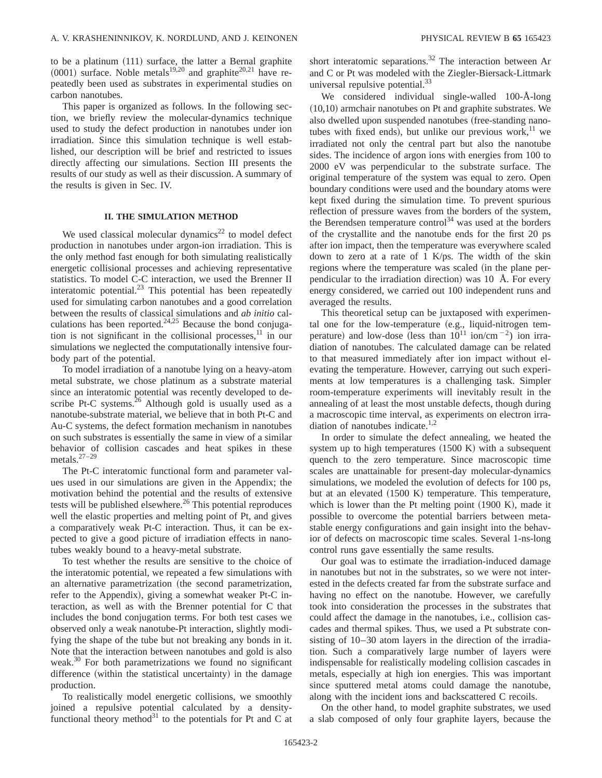to be a platinum  $(111)$  surface, the latter a Bernal graphite  $(0001)$  surface. Noble metals<sup>19,20</sup> and graphite<sup>20,21</sup> have repeatedly been used as substrates in experimental studies on carbon nanotubes.

This paper is organized as follows. In the following section, we briefly review the molecular-dynamics technique used to study the defect production in nanotubes under ion irradiation. Since this simulation technique is well established, our description will be brief and restricted to issues directly affecting our simulations. Section III presents the results of our study as well as their discussion. A summary of the results is given in Sec. IV.

### **II. THE SIMULATION METHOD**

We used classical molecular dynamics<sup>22</sup> to model defect production in nanotubes under argon-ion irradiation. This is the only method fast enough for both simulating realistically energetic collisional processes and achieving representative statistics. To model C-C interaction, we used the Brenner II interatomic potential.23 This potential has been repeatedly used for simulating carbon nanotubes and a good correlation between the results of classical simulations and *ab initio* calculations has been reported. $24,25$  Because the bond conjugation is not significant in the collisional processes,  $\frac{11}{11}$  in our simulations we neglected the computationally intensive fourbody part of the potential.

To model irradiation of a nanotube lying on a heavy-atom metal substrate, we chose platinum as a substrate material since an interatomic potential was recently developed to describe Pt-C systems.<sup>26</sup> Although gold is usually used as a nanotube-substrate material, we believe that in both Pt-C and Au-C systems, the defect formation mechanism in nanotubes on such substrates is essentially the same in view of a similar behavior of collision cascades and heat spikes in these metals.27–29

The Pt-C interatomic functional form and parameter values used in our simulations are given in the Appendix; the motivation behind the potential and the results of extensive tests will be published elsewhere.<sup>26</sup> This potential reproduces well the elastic properties and melting point of Pt, and gives a comparatively weak Pt-C interaction. Thus, it can be expected to give a good picture of irradiation effects in nanotubes weakly bound to a heavy-metal substrate.

To test whether the results are sensitive to the choice of the interatomic potential, we repeated a few simulations with an alternative parametrization (the second parametrization, refer to the Appendix), giving a somewhat weaker Pt-C interaction, as well as with the Brenner potential for C that includes the bond conjugation terms. For both test cases we observed only a weak nanotube-Pt interaction, slightly modifying the shape of the tube but not breaking any bonds in it. Note that the interaction between nanotubes and gold is also weak.<sup>30</sup> For both parametrizations we found no significant difference (within the statistical uncertainty) in the damage production.

To realistically model energetic collisions, we smoothly joined a repulsive potential calculated by a densityfunctional theory method<sup>31</sup> to the potentials for Pt and C at short interatomic separations.<sup>32</sup> The interaction between Ar and C or Pt was modeled with the Ziegler-Biersack-Littmark universal repulsive potential.33

We considered individual single-walled 100-Å-long  $(10,10)$  armchair nanotubes on Pt and graphite substrates. We also dwelled upon suspended nanotubes (free-standing nanotubes with fixed ends), but unlike our previous work, $11$  we irradiated not only the central part but also the nanotube sides. The incidence of argon ions with energies from 100 to 2000 eV was perpendicular to the substrate surface. The original temperature of the system was equal to zero. Open boundary conditions were used and the boundary atoms were kept fixed during the simulation time. To prevent spurious reflection of pressure waves from the borders of the system, the Berendsen temperature control<sup>34</sup> was used at the borders of the crystallite and the nanotube ends for the first 20 ps after ion impact, then the temperature was everywhere scaled down to zero at a rate of 1 K/ps. The width of the skin regions where the temperature was scaled (in the plane perpendicular to the irradiation direction) was  $10\;$  Å. For every energy considered, we carried out 100 independent runs and averaged the results.

This theoretical setup can be juxtaposed with experimental one for the low-temperature  $(e.g., liquid-nitrogen$  temperature) and low-dose (less than  $10^{11}$  ion/cm<sup>-2</sup>) ion irradiation of nanotubes. The calculated damage can be related to that measured immediately after ion impact without elevating the temperature. However, carrying out such experiments at low temperatures is a challenging task. Simpler room-temperature experiments will inevitably result in the annealing of at least the most unstable defects, though during a macroscopic time interval, as experiments on electron irradiation of nanotubes indicate. $1,2$ 

In order to simulate the defect annealing, we heated the system up to high temperatures  $(1500 \text{ K})$  with a subsequent quench to the zero temperature. Since macroscopic time scales are unattainable for present-day molecular-dynamics simulations, we modeled the evolution of defects for 100 ps, but at an elevated  $(1500 \text{ K})$  temperature. This temperature, which is lower than the Pt melting point  $(1900 \text{ K})$ , made it possible to overcome the potential barriers between metastable energy configurations and gain insight into the behavior of defects on macroscopic time scales. Several 1-ns-long control runs gave essentially the same results.

Our goal was to estimate the irradiation-induced damage in nanotubes but not in the substrates, so we were not interested in the defects created far from the substrate surface and having no effect on the nanotube. However, we carefully took into consideration the processes in the substrates that could affect the damage in the nanotubes, i.e., collision cascades and thermal spikes. Thus, we used a Pt substrate consisting of 10–30 atom layers in the direction of the irradiation. Such a comparatively large number of layers were indispensable for realistically modeling collision cascades in metals, especially at high ion energies. This was important since sputtered metal atoms could damage the nanotube, along with the incident ions and backscattered C recoils.

On the other hand, to model graphite substrates, we used a slab composed of only four graphite layers, because the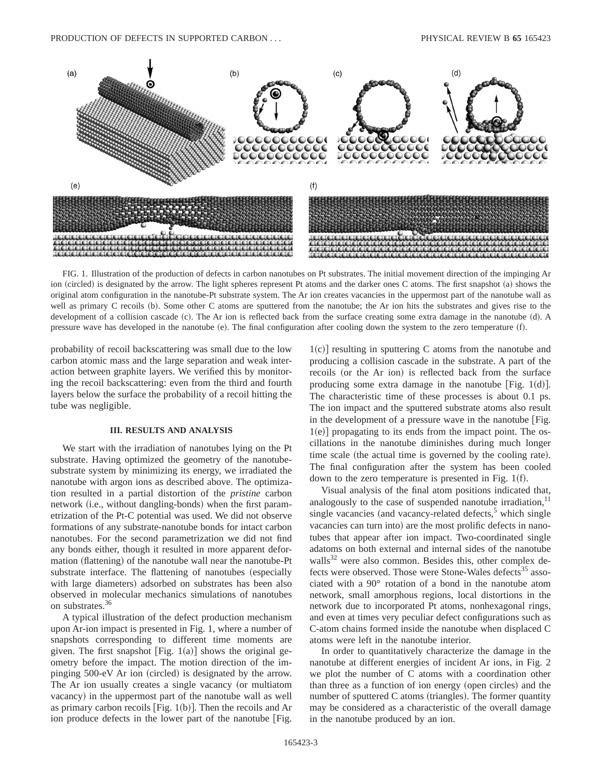

FIG. 1. Illustration of the production of defects in carbon nanotubes on Pt substrates. The initial movement direction of the impinging Ar ion (circled) is designated by the arrow. The light spheres represent Pt atoms and the darker ones C atoms. The first snapshot (a) shows the original atom configuration in the nanotube-Pt substrate system. The Ar ion creates vacancies in the uppermost part of the nanotube wall as well as primary C recoils (b). Some other C atoms are sputtered from the nanotube; the Ar ion hits the substrates and gives rise to the development of a collision cascade  $(c)$ . The Ar ion is reflected back from the surface creating some extra damage in the nanotube  $(d)$ . A pressure wave has developed in the nanotube  $(e)$ . The final configuration after cooling down the system to the zero temperature  $(f)$ .

probability of recoil backscattering was small due to the low carbon atomic mass and the large separation and weak interaction between graphite layers. We verified this by monitoring the recoil backscattering: even from the third and fourth layers below the surface the probability of a recoil hitting the tube was negligible.

#### **III. RESULTS AND ANALYSIS**

We start with the irradiation of nanotubes lying on the Pt substrate. Having optimized the geometry of the nanotubesubstrate system by minimizing its energy, we irradiated the nanotube with argon ions as described above. The optimization resulted in a partial distortion of the *pristine* carbon network (i.e., without dangling-bonds) when the first parametrization of the Pt-C potential was used. We did not observe formations of any substrate-nanotube bonds for intact carbon nanotubes. For the second parametrization we did not find any bonds either, though it resulted in more apparent deformation (flattening) of the nanotube wall near the nanotube-Pt substrate interface. The flattening of nanotubes (especially with large diameters) adsorbed on substrates has been also observed in molecular mechanics simulations of nanotubes on substrates.36

A typical illustration of the defect production mechanism upon Ar-ion impact is presented in Fig. 1, where a number of snapshots corresponding to different time moments are given. The first snapshot  $[Fig. 1(a)]$  shows the original geometry before the impact. The motion direction of the impinging  $500-eV$  Ar ion (circled) is designated by the arrow. The Ar ion usually creates a single vacancy (or multiatom vacancy) in the uppermost part of the nanotube wall as well as primary carbon recoils [Fig. 1(b)]. Then the recoils and Ar ion produce defects in the lower part of the nanotube [Fig.

 $1(c)$  resulting in sputtering C atoms from the nanotube and producing a collision cascade in the substrate. A part of the recoils (or the Ar ion) is reflected back from the surface producing some extra damage in the nanotube  $[Fig. 1(d)].$ The characteristic time of these processes is about 0.1 ps. The ion impact and the sputtered substrate atoms also result in the development of a pressure wave in the nanotube  $[Fig.$  $1(e)$ ] propagating to its ends from the impact point. The oscillations in the nanotube diminishes during much longer time scale (the actual time is governed by the cooling rate). The final configuration after the system has been cooled down to the zero temperature is presented in Fig.  $1(f)$ .

Visual analysis of the final atom positions indicated that, analogously to the case of suspended nanotube irradiation,<sup>11</sup> single vacancies (and vacancy-related defects, $5$  which single vacancies can turn into) are the most prolific defects in nanotubes that appear after ion impact. Two-coordinated single adatoms on both external and internal sides of the nanotube walls<sup>32</sup> were also common. Besides this, other complex defects were observed. Those were Stone-Wales defects<sup>35</sup> associated with a 90° rotation of a bond in the nanotube atom network, small amorphous regions, local distortions in the network due to incorporated Pt atoms, nonhexagonal rings, and even at times very peculiar defect configurations such as C-atom chains formed inside the nanotube when displaced C atoms were left in the nanotube interior.

In order to quantitatively characterize the damage in the nanotube at different energies of incident Ar ions, in Fig. 2 we plot the number of C atoms with a coordination other than three as a function of ion energy (open circles) and the number of sputtered  $C$  atoms (triangles). The former quantity may be considered as a characteristic of the overall damage in the nanotube produced by an ion.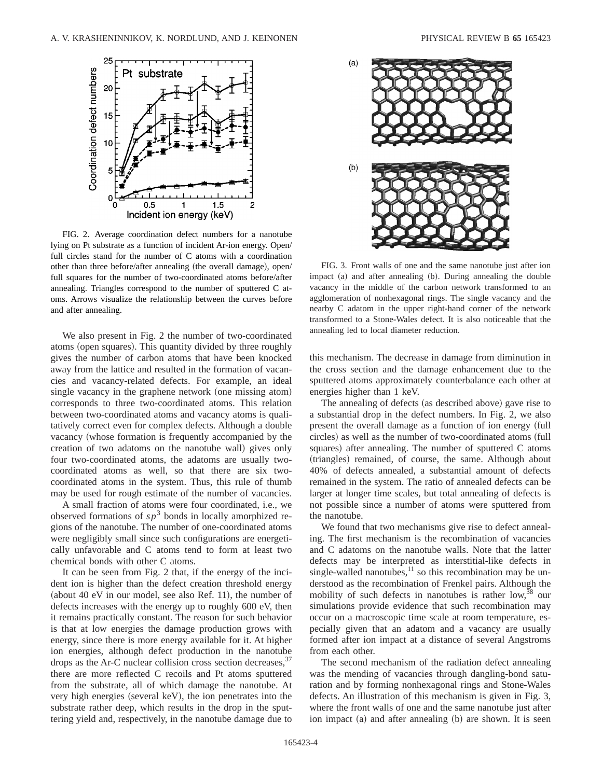

FIG. 2. Average coordination defect numbers for a nanotube lying on Pt substrate as a function of incident Ar-ion energy. Open/ full circles stand for the number of C atoms with a coordination other than three before/after annealing (the overall damage), open/ full squares for the number of two-coordinated atoms before/after annealing. Triangles correspond to the number of sputtered C atoms. Arrows visualize the relationship between the curves before and after annealing.

We also present in Fig. 2 the number of two-coordinated atoms (open squares). This quantity divided by three roughly gives the number of carbon atoms that have been knocked away from the lattice and resulted in the formation of vacancies and vacancy-related defects. For example, an ideal single vacancy in the graphene network (one missing atom) corresponds to three two-coordinated atoms. This relation between two-coordinated atoms and vacancy atoms is qualitatively correct even for complex defects. Although a double vacancy (whose formation is frequently accompanied by the creation of two adatoms on the nanotube wall) gives only four two-coordinated atoms, the adatoms are usually twocoordinated atoms as well, so that there are six twocoordinated atoms in the system. Thus, this rule of thumb may be used for rough estimate of the number of vacancies.

A small fraction of atoms were four coordinated, i.e., we observed formations of *sp*<sup>3</sup> bonds in locally amorphized regions of the nanotube. The number of one-coordinated atoms were negligibly small since such configurations are energetically unfavorable and C atoms tend to form at least two chemical bonds with other C atoms.

It can be seen from Fig. 2 that, if the energy of the incident ion is higher than the defect creation threshold energy (about 40 eV in our model, see also Ref. 11), the number of defects increases with the energy up to roughly 600 eV, then it remains practically constant. The reason for such behavior is that at low energies the damage production grows with energy, since there is more energy available for it. At higher ion energies, although defect production in the nanotube drops as the Ar-C nuclear collision cross section decreases, <sup>37</sup> there are more reflected C recoils and Pt atoms sputtered from the substrate, all of which damage the nanotube. At very high energies (several keV), the ion penetrates into the substrate rather deep, which results in the drop in the sputtering yield and, respectively, in the nanotube damage due to



FIG. 3. Front walls of one and the same nanotube just after ion impact (a) and after annealing (b). During annealing the double vacancy in the middle of the carbon network transformed to an agglomeration of nonhexagonal rings. The single vacancy and the nearby C adatom in the upper right-hand corner of the network transformed to a Stone-Wales defect. It is also noticeable that the annealing led to local diameter reduction.

this mechanism. The decrease in damage from diminution in the cross section and the damage enhancement due to the sputtered atoms approximately counterbalance each other at energies higher than 1 keV.

The annealing of defects (as described above) gave rise to a substantial drop in the defect numbers. In Fig. 2, we also present the overall damage as a function of ion energy (full circles) as well as the number of two-coordinated atoms (full squares) after annealing. The number of sputtered C atoms (triangles) remained, of course, the same. Although about 40% of defects annealed, a substantial amount of defects remained in the system. The ratio of annealed defects can be larger at longer time scales, but total annealing of defects is not possible since a number of atoms were sputtered from the nanotube.

We found that two mechanisms give rise to defect annealing. The first mechanism is the recombination of vacancies and C adatoms on the nanotube walls. Note that the latter defects may be interpreted as interstitial-like defects in single-walled nanotubes, $^{11}$  so this recombination may be understood as the recombination of Frenkel pairs. Although the mobility of such defects in nanotubes is rather  $low$ ,  $38$  our simulations provide evidence that such recombination may occur on a macroscopic time scale at room temperature, especially given that an adatom and a vacancy are usually formed after ion impact at a distance of several Angstroms from each other.

The second mechanism of the radiation defect annealing was the mending of vacancies through dangling-bond saturation and by forming nonhexagonal rings and Stone-Wales defects. An illustration of this mechanism is given in Fig. 3, where the front walls of one and the same nanotube just after ion impact (a) and after annealing (b) are shown. It is seen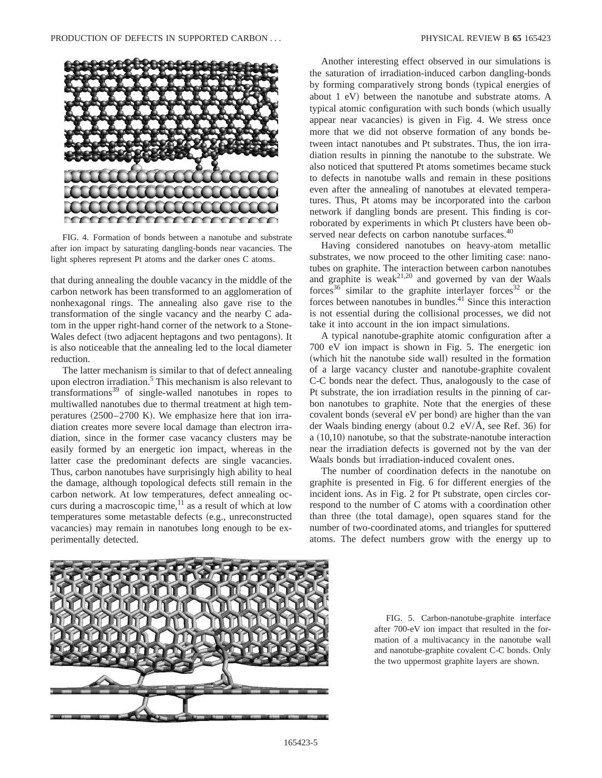

FIG. 4. Formation of bonds between a nanotube and substrate after ion impact by saturating dangling-bonds near vacancies. The light spheres represent Pt atoms and the darker ones C atoms.

that during annealing the double vacancy in the middle of the carbon network has been transformed to an agglomeration of nonhexagonal rings. The annealing also gave rise to the transformation of the single vacancy and the nearby C adatom in the upper right-hand corner of the network to a Stone-Wales defect (two adjacent heptagons and two pentagons). It is also noticeable that the annealing led to the local diameter reduction.

The latter mechanism is similar to that of defect annealing upon electron irradiation.<sup>5</sup> This mechanism is also relevant to transformations39 of single-walled nanotubes in ropes to multiwalled nanotubes due to thermal treatment at high temperatures  $(2500-2700 \text{ K})$ . We emphasize here that ion irradiation creates more severe local damage than electron irradiation, since in the former case vacancy clusters may be easily formed by an energetic ion impact, whereas in the latter case the predominant defects are single vacancies. Thus, carbon nanotubes have surprisingly high ability to heal the damage, although topological defects still remain in the carbon network. At low temperatures, defect annealing occurs during a macroscopic time, $^{11}$  as a result of which at low temperatures some metastable defects (e.g., unreconstructed vacancies) may remain in nanotubes long enough to be experimentally detected.

Another interesting effect observed in our simulations is the saturation of irradiation-induced carbon dangling-bonds by forming comparatively strong bonds (typical energies of about 1 eV) between the nanotube and substrate atoms. A typical atomic configuration with such bonds (which usually appear near vacancies) is given in Fig. 4. We stress once more that we did not observe formation of any bonds between intact nanotubes and Pt substrates. Thus, the ion irradiation results in pinning the nanotube to the substrate. We also noticed that sputtered Pt atoms sometimes became stuck to defects in nanotube walls and remain in these positions even after the annealing of nanotubes at elevated temperatures. Thus, Pt atoms may be incorporated into the carbon network if dangling bonds are present. This finding is corroborated by experiments in which Pt clusters have been observed near defects on carbon nanotube surfaces.<sup>40</sup>

Having considered nanotubes on heavy-atom metallic substrates, we now proceed to the other limiting case: nanotubes on graphite. The interaction between carbon nanotubes and graphite is weak<sup>21,20</sup> and governed by van der Waals forces<sup>36</sup> similar to the graphite interlayer forces<sup>32</sup> or the forces between nanotubes in bundles. $41$  Since this interaction is not essential during the collisional processes, we did not take it into account in the ion impact simulations.

A typical nanotube-graphite atomic configuration after a 700 eV ion impact is shown in Fig. 5. The energetic ion (which hit the nanotube side wall) resulted in the formation of a large vacancy cluster and nanotube-graphite covalent C-C bonds near the defect. Thus, analogously to the case of Pt substrate, the ion irradiation results in the pinning of carbon nanotubes to graphite. Note that the energies of these covalent bonds (several eV per bond) are higher than the van der Waals binding energy (about 0.2 eV/Å, see Ref. 36) for a  $(10,10)$  nanotube, so that the substrate-nanotube interaction near the irradiation defects is governed not by the van der Waals bonds but irradiation-induced covalent ones.

The number of coordination defects in the nanotube on graphite is presented in Fig. 6 for different energies of the incident ions. As in Fig. 2 for Pt substrate, open circles correspond to the number of C atoms with a coordination other than three (the total damage), open squares stand for the number of two-coordinated atoms, and triangles for sputtered atoms. The defect numbers grow with the energy up to



FIG. 5. Carbon-nanotube-graphite interface after 700-eV ion impact that resulted in the formation of a multivacancy in the nanotube wall and nanotube-graphite covalent C-C bonds. Only the two uppermost graphite layers are shown.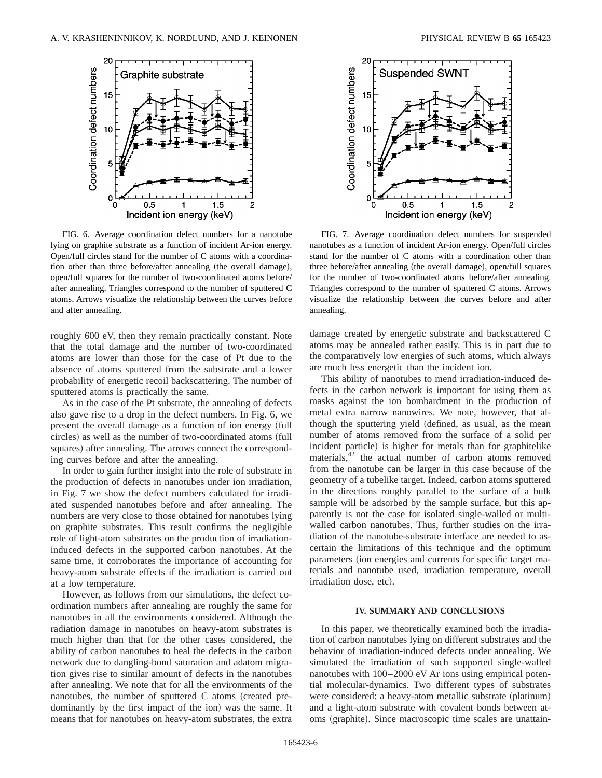

FIG. 6. Average coordination defect numbers for a nanotube lying on graphite substrate as a function of incident Ar-ion energy. Open/full circles stand for the number of C atoms with a coordination other than three before/after annealing (the overall damage), open/full squares for the number of two-coordinated atoms before/ after annealing. Triangles correspond to the number of sputtered C atoms. Arrows visualize the relationship between the curves before and after annealing.

roughly 600 eV, then they remain practically constant. Note that the total damage and the number of two-coordinated atoms are lower than those for the case of Pt due to the absence of atoms sputtered from the substrate and a lower probability of energetic recoil backscattering. The number of sputtered atoms is practically the same.

As in the case of the Pt substrate, the annealing of defects also gave rise to a drop in the defect numbers. In Fig. 6, we present the overall damage as a function of ion energy (full circles) as well as the number of two-coordinated atoms (full squares) after annealing. The arrows connect the corresponding curves before and after the annealing.

In order to gain further insight into the role of substrate in the production of defects in nanotubes under ion irradiation, in Fig. 7 we show the defect numbers calculated for irradiated suspended nanotubes before and after annealing. The numbers are very close to those obtained for nanotubes lying on graphite substrates. This result confirms the negligible role of light-atom substrates on the production of irradiationinduced defects in the supported carbon nanotubes. At the same time, it corroborates the importance of accounting for heavy-atom substrate effects if the irradiation is carried out at a low temperature.

However, as follows from our simulations, the defect coordination numbers after annealing are roughly the same for nanotubes in all the environments considered. Although the radiation damage in nanotubes on heavy-atom substrates is much higher than that for the other cases considered, the ability of carbon nanotubes to heal the defects in the carbon network due to dangling-bond saturation and adatom migration gives rise to similar amount of defects in the nanotubes after annealing. We note that for all the environments of the nanotubes, the number of sputtered  $C$  atoms (created predominantly by the first impact of the ion) was the same. It means that for nanotubes on heavy-atom substrates, the extra



FIG. 7. Average coordination defect numbers for suspended nanotubes as a function of incident Ar-ion energy. Open/full circles stand for the number of C atoms with a coordination other than three before/after annealing (the overall damage), open/full squares for the number of two-coordinated atoms before/after annealing. Triangles correspond to the number of sputtered C atoms. Arrows visualize the relationship between the curves before and after annealing.

damage created by energetic substrate and backscattered C atoms may be annealed rather easily. This is in part due to the comparatively low energies of such atoms, which always are much less energetic than the incident ion.

This ability of nanotubes to mend irradiation-induced defects in the carbon network is important for using them as masks against the ion bombardment in the production of metal extra narrow nanowires. We note, however, that although the sputtering yield (defined, as usual, as the mean number of atoms removed from the surface of a solid per incident particle) is higher for metals than for graphitelike materials, $42$  the actual number of carbon atoms removed from the nanotube can be larger in this case because of the geometry of a tubelike target. Indeed, carbon atoms sputtered in the directions roughly parallel to the surface of a bulk sample will be adsorbed by the sample surface, but this apparently is not the case for isolated single-walled or multiwalled carbon nanotubes. Thus, further studies on the irradiation of the nanotube-substrate interface are needed to ascertain the limitations of this technique and the optimum parameters (ion energies and currents for specific target materials and nanotube used, irradiation temperature, overall irradiation dose, etc).

#### **IV. SUMMARY AND CONCLUSIONS**

In this paper, we theoretically examined both the irradiation of carbon nanotubes lying on different substrates and the behavior of irradiation-induced defects under annealing. We simulated the irradiation of such supported single-walled nanotubes with 100–2000 eV Ar ions using empirical potential molecular-dynamics. Two different types of substrates were considered: a heavy-atom metallic substrate (platinum) and a light-atom substrate with covalent bonds between atoms (graphite). Since macroscopic time scales are unattain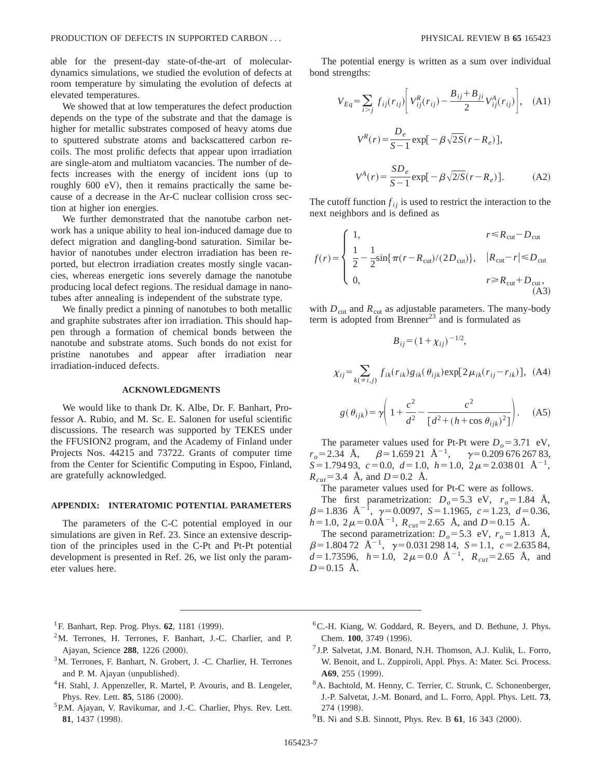able for the present-day state-of-the-art of moleculardynamics simulations, we studied the evolution of defects at room temperature by simulating the evolution of defects at elevated temperatures.

We showed that at low temperatures the defect production depends on the type of the substrate and that the damage is higher for metallic substrates composed of heavy atoms due to sputtered substrate atoms and backscattered carbon recoils. The most prolific defects that appear upon irradiation are single-atom and multiatom vacancies. The number of defects increases with the energy of incident ions (up to roughly  $600 \text{ eV}$ , then it remains practically the same because of a decrease in the Ar-C nuclear collision cross section at higher ion energies.

We further demonstrated that the nanotube carbon network has a unique ability to heal ion-induced damage due to defect migration and dangling-bond saturation. Similar behavior of nanotubes under electron irradiation has been reported, but electron irradiation creates mostly single vacancies, whereas energetic ions severely damage the nanotube producing local defect regions. The residual damage in nanotubes after annealing is independent of the substrate type.

We finally predict a pinning of nanotubes to both metallic and graphite substrates after ion irradiation. This should happen through a formation of chemical bonds between the nanotube and substrate atoms. Such bonds do not exist for pristine nanotubes and appear after irradiation near irradiation-induced defects.

## **ACKNOWLEDGMENTS**

We would like to thank Dr. K. Albe, Dr. F. Banhart, Professor A. Rubio, and M. Sc. E. Salonen for useful scientific discussions. The research was supported by TEKES under the FFUSION2 program, and the Academy of Finland under Projects Nos. 44215 and 73722. Grants of computer time from the Center for Scientific Computing in Espoo, Finland, are gratefully acknowledged.

#### **APPENDIX: INTERATOMIC POTENTIAL PARAMETERS**

The parameters of the C-C potential employed in our simulations are given in Ref. 23. Since an extensive description of the principles used in the C-Pt and Pt-Pt potential development is presented in Ref. 26, we list only the parameter values here.

The potential energy is written as a sum over individual bond strengths:

$$
V_{Eq} = \sum_{i > j} f_{ij}(r_{ij}) \left[ V_{ij}^{R}(r_{ij}) - \frac{B_{ij} + B_{ji}}{2} V_{ij}^{A}(r_{ij}) \right], \quad (A1)
$$

$$
V^{R}(r) = \frac{D_e}{S - 1} \exp[-\beta \sqrt{2S}(r - R_e)],
$$

$$
V^{A}(r) = \frac{SD_e}{S - 1} \exp[-\beta \sqrt{2/S}(r - R_e)]. \quad (A2)
$$

The cutoff function  $f_{ij}$  is used to restrict the interaction to the next neighbors and is defined as

$$
f(r) = \begin{cases} 1, & r \le R_{\text{cut}} - D_{\text{cut}} \\ \frac{1}{2} - \frac{1}{2} \sin{\pi (r - R_{\text{cut}})} / (2D_{\text{cut}}), & |R_{\text{cut}} - r| \le D_{\text{cut}} \\ 0, & r \ge R_{\text{cut}} + D_{\text{cut}}, \end{cases}
$$
(A3)

with  $D_{\text{cut}}$  and  $R_{\text{cut}}$  as adjustable parameters. The many-body term is adopted from Brenner<sup>23</sup> and is formulated as

$$
B_{ij} = (1 + \chi_{ij})^{-1/2},
$$
  
\n
$$
\chi_{ij} = \sum_{k(\neq i,j)} f_{ik}(r_{ik}) g_{ik}(\theta_{ijk}) \exp[2\mu_{ik}(r_{ij} - r_{ik})],
$$
 (A4)  
\n
$$
g(\theta_{ijk}) = \gamma \left(1 + \frac{c^2}{d^2} - \frac{c^2}{[d^2 + (h + \cos \theta_{ijk})^2]}\right).
$$
 (A5)

The parameter values used for Pt-Pt were  $D_0 = 3.71$  eV,  $r_o = 2.34$  Å,  $\beta = 1.659 21$  Å<sup>-1</sup>,  $\gamma = 0.209 676 267 83$ ,  $S=1.794$  93,  $c=0.0$ ,  $d=1.0$ ,  $h=1.0$ ,  $2\mu=2.038$  01 Å<sup>-1</sup>,  $R_{cut}$ =3.4 Å, and *D* = 0.2 Å.

The parameter values used for Pt-C were as follows.

The first parametrization:  $D_0 = 5.3$  eV,  $r_0 = 1.84$  A,  $\beta=1.836 \text{ \AA}^{-1}$ ,  $\gamma=0.0097$ ,  $S=1.1965$ ,  $c=1.23$ ,  $d=0.36$ ,  $h=1.0$ ,  $2 \mu=0.0\text{\AA}^{-1}$ ,  $R_{cut}=2.65 \text{ \AA}$ , and  $D=0.15 \text{ \AA}$ .

The second parametrization:  $D_0 = 5.3$  eV,  $r_0 = 1.813$  Å,  $\beta = 1.804\,72\,$  Å<sup>-1</sup>,  $\gamma = 0.031\,298\,$  14,  $S = 1.1$ ,  $c = 2.635\,84$ ,  $d=1.73596$ ,  $h=1.0$ ,  $2\mu=0.0$  Å<sup>-1</sup>,  $R_{cut}=2.65$  Å, and  $D=0.15$  Å.

- ${}^{1}$ F. Banhart, Rep. Prog. Phys. **62**, 1181 (1999).
- $2^2$ M. Terrones, H. Terrones, F. Banhart, J.-C. Charlier, and P. Ajayan, Science 288, 1226 (2000).
- <sup>3</sup>M. Terrones, F. Banhart, N. Grobert, J. -C. Charlier, H. Terrones and P. M. Ajayan (unpublished).
- <sup>4</sup>H. Stahl, J. Appenzeller, R. Martel, P. Avouris, and B. Lengeler, Phys. Rev. Lett. **85**, 5186 (2000).
- <sup>5</sup>P.M. Ajayan, V. Ravikumar, and J.-C. Charlier, Phys. Rev. Lett. 81, 1437 (1998).
- 6C.-H. Kiang, W. Goddard, R. Beyers, and D. Bethune, J. Phys. Chem. 100, 3749 (1996).
- <sup>7</sup> J.P. Salvetat, J.M. Bonard, N.H. Thomson, A.J. Kulik, L. Forro, W. Benoit, and L. Zuppiroli, Appl. Phys. A: Mater. Sci. Process. A69, 255 (1999).
- 8A. Bachtold, M. Henny, C. Terrier, C. Strunk, C. Schonenberger, J.-P. Salvetat, J.-M. Bonard, and L. Forro, Appl. Phys. Lett. **73**, 274 (1998).
- <sup>9</sup>B. Ni and S.B. Sinnott, Phys. Rev. B 61, 16 343 (2000).